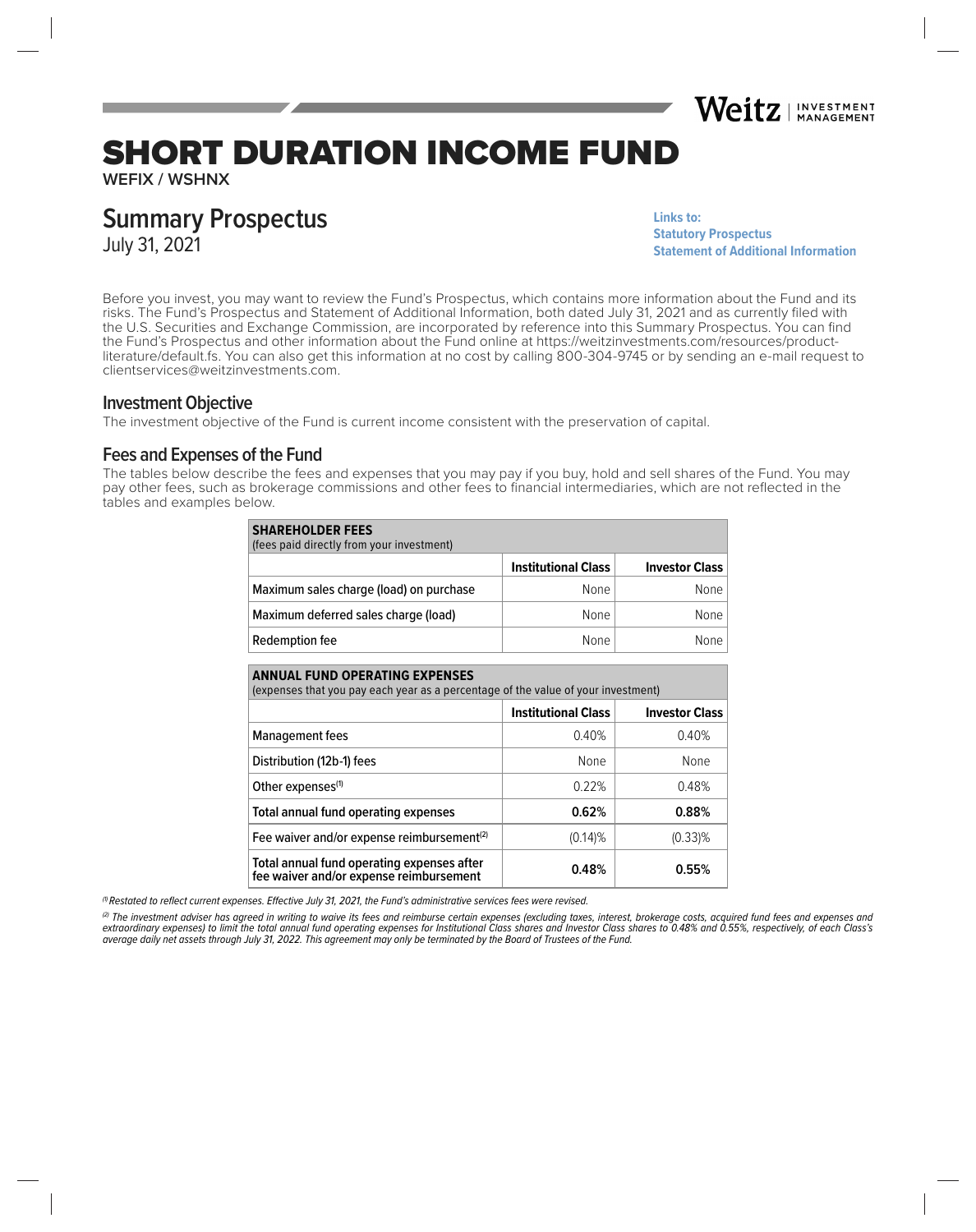

# SHORT DURATION INCOME FUND

**WEFIX / WSHNX**

# **Summary Prospectus**

July 31, 2021

**Links to: [Statutory Prospectus](https://weitzinvestments.com/sitefiles/live/documents/funds/prospectuses/WeitzFundsProspectus.pdf) [Statement of Additional Information](https://weitzinvestments.com/sitefiles/live/documents/funds/sai/WeitzSAI.pdf)**

Before you invest, you may want to review the Fund's Prospectus, which contains more information about the Fund and its risks. The Fund's Prospectus and Statement of Additional Information, both dated July 31, 2021 and as currently filed with the U.S. Securities and Exchange Commission, are incorporated by reference into this Summary Prospectus. You can find the Fund's Prospectus and other information about the Fund online at https://weitzinvestments.com/resources/productliterature/default.fs. You can also get this information at no cost by calling 800-304-9745 or by sending an e-mail request to clientservices@weitzinvestments.com.

#### **Investment Objective**

The investment objective of the Fund is current income consistent with the preservation of capital.

#### **Fees and Expenses of the Fund**

The tables below describe the fees and expenses that you may pay if you buy, hold and sell shares of the Fund. You may pay other fees, such as brokerage commissions and other fees to financial intermediaries, which are not reflected in the tables and examples below.

| <b>SHAREHOLDER FEES</b><br>(fees paid directly from your investment) |                            |                       |  |  |  |  |
|----------------------------------------------------------------------|----------------------------|-----------------------|--|--|--|--|
|                                                                      | <b>Institutional Class</b> | <b>Investor Class</b> |  |  |  |  |
| Maximum sales charge (load) on purchase                              | None                       | None                  |  |  |  |  |
| Maximum deferred sales charge (load)                                 | None                       | None                  |  |  |  |  |
| Redemption fee                                                       | <b>None</b>                | None                  |  |  |  |  |

| <b>ANNUAL FUND OPERATING EXPENSES</b><br>(expenses that you pay each year as a percentage of the value of your investment) |                            |                       |  |  |  |  |
|----------------------------------------------------------------------------------------------------------------------------|----------------------------|-----------------------|--|--|--|--|
|                                                                                                                            | <b>Institutional Class</b> | <b>Investor Class</b> |  |  |  |  |
| <b>Management fees</b>                                                                                                     | 0.40%                      | 0.40%                 |  |  |  |  |
| Distribution (12b-1) fees                                                                                                  | None                       | None                  |  |  |  |  |
| Other expenses <sup>(1)</sup>                                                                                              | 0.22%                      | 0.48%                 |  |  |  |  |
| Total annual fund operating expenses                                                                                       | 0.62%                      | 0.88%                 |  |  |  |  |
| Fee waiver and/or expense reimbursement <sup>(2)</sup>                                                                     | $(0.14)$ %                 | $(0.33)\%$            |  |  |  |  |
| Total annual fund operating expenses after<br>fee waiver and/or expense reimbursement                                      | 0.48%                      | 0.55%                 |  |  |  |  |

 $<sup>(1)</sup>$  Restated to reflect current expenses. Effective July 31, 2021, the Fund's administrative services fees were revised.</sup>

(2) The investment adviser has agreed in writing to waive its fees and reimburse certain expenses (excluding taxes, interest, brokerage costs, acquired fund fees and expenses and extraordinary expenses) to limit the total annual fund operating expenses for Institutional Class shares and Investor Class shares to 0.48% and 0.55%, respectively, of each Class's average daily net assets through July 31, 2022. This agreement may only be terminated by the Board of Trustees of the Fund.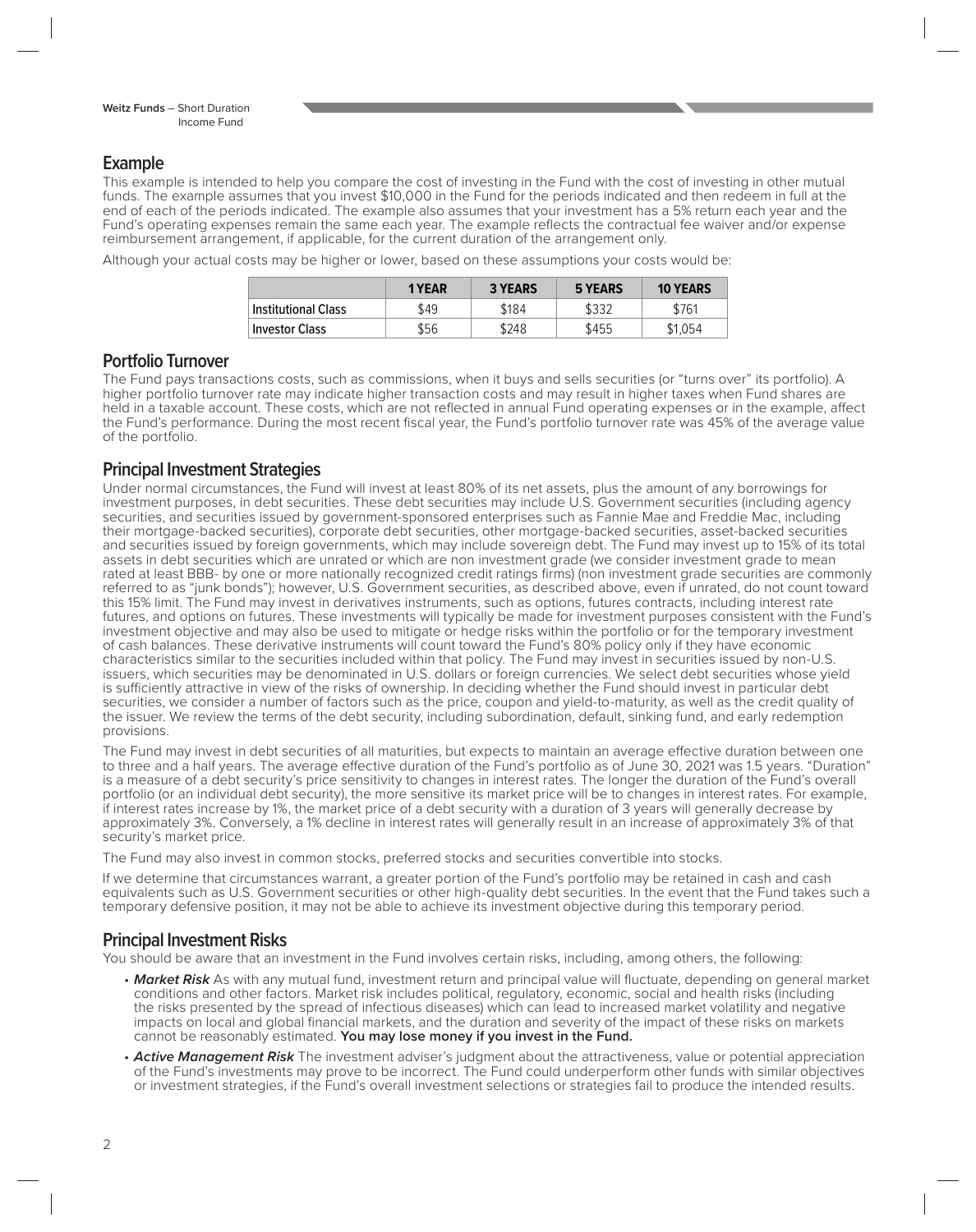### **Example**

This example is intended to help you compare the cost of investing in the Fund with the cost of investing in other mutual funds. The example assumes that you invest \$10,000 in the Fund for the periods indicated and then redeem in full at the end of each of the periods indicated. The example also assumes that your investment has a 5% return each year and the Fund's operating expenses remain the same each year. The example reflects the contractual fee waiver and/or expense reimbursement arrangement, if applicable, for the current duration of the arrangement only.

Although your actual costs may be higher or lower, based on these assumptions your costs would be:

|                     | 1 YEAR | <b>3 YEARS</b> | 5 YEARS | <b>10 YEARS</b> |
|---------------------|--------|----------------|---------|-----------------|
| Institutional Class | \$49   | \$184          | \$332   | \$761           |
| Investor Class      | \$56   | \$248          | \$455   | \$1.054         |

#### **Portfolio Turnover**

The Fund pays transactions costs, such as commissions, when it buys and sells securities (or "turns over" its portfolio). A higher portfolio turnover rate may indicate higher transaction costs and may result in higher taxes when Fund shares are held in a taxable account. These costs, which are not reflected in annual Fund operating expenses or in the example, affect the Fund's performance. During the most recent fiscal year, the Fund's portfolio turnover rate was 45% of the average value of the portfolio.

#### **Principal Investment Strategies**

Under normal circumstances, the Fund will invest at least 80% of its net assets, plus the amount of any borrowings for investment purposes, in debt securities. These debt securities may include U.S. Government securities (including agency securities, and securities issued by government-sponsored enterprises such as Fannie Mae and Freddie Mac, including their mortgage-backed securities), corporate debt securities, other mortgage-backed securities, asset-backed securities and securities issued by foreign governments, which may include sovereign debt. The Fund may invest up to 15% of its total assets in debt securities which are unrated or which are non investment grade (we consider investment grade to mean rated at least BBB- by one or more nationally recognized credit ratings firms) (non investment grade securities are commonly referred to as "junk bonds"); however, U.S. Government securities, as described above, even if unrated, do not count toward this 15% limit. The Fund may invest in derivatives instruments, such as options, futures contracts, including interest rate futures, and options on futures. These investments will typically be made for investment purposes consistent with the Fund's investment objective and may also be used to mitigate or hedge risks within the portfolio or for the temporary investment of cash balances. These derivative instruments will count toward the Fund's 80% policy only if they have economic characteristics similar to the securities included within that policy. The Fund may invest in securities issued by non-U.S. issuers, which securities may be denominated in U.S. dollars or foreign currencies. We select debt securities whose yield is sufficiently attractive in view of the risks of ownership. In deciding whether the Fund should invest in particular debt securities, we consider a number of factors such as the price, coupon and yield-to-maturity, as well as the credit quality of the issuer. We review the terms of the debt security, including subordination, default, sinking fund, and early redemption provisions.

The Fund may invest in debt securities of all maturities, but expects to maintain an average effective duration between one to three and a half years. The average effective duration of the Fund's portfolio as of June 30, 2021 was 1.5 years. "Duration" is a measure of a debt security's price sensitivity to changes in interest rates. The longer the duration of the Fund's overall portfolio (or an individual debt security), the more sensitive its market price will be to changes in interest rates. For example, if interest rates increase by 1%, the market price of a debt security with a duration of 3 years will generally decrease by approximately 3%. Conversely, a 1% decline in interest rates will generally result in an increase of approximately 3% of that security's market price.

The Fund may also invest in common stocks, preferred stocks and securities convertible into stocks.

If we determine that circumstances warrant, a greater portion of the Fund's portfolio may be retained in cash and cash equivalents such as U.S. Government securities or other high-quality debt securities. In the event that the Fund takes such a temporary defensive position, it may not be able to achieve its investment objective during this temporary period.

## **Principal Investment Risks**

You should be aware that an investment in the Fund involves certain risks, including, among others, the following:

- Market Risk As with any mutual fund, investment return and principal value will fluctuate, depending on general market conditions and other factors. Market risk includes political, regulatory, economic, social and health risks (including the risks presented by the spread of infectious diseases) which can lead to increased market volatility and negative impacts on local and global financial markets, and the duration and severity of the impact of these risks on markets cannot be reasonably estimated. **You may lose money if you invest in the Fund.**
- **Active Management Risk** The investment adviser's judgment about the attractiveness, value or potential appreciation of the Fund's investments may prove to be incorrect. The Fund could underperform other funds with similar objectives or investment strategies, if the Fund's overall investment selections or strategies fail to produce the intended results.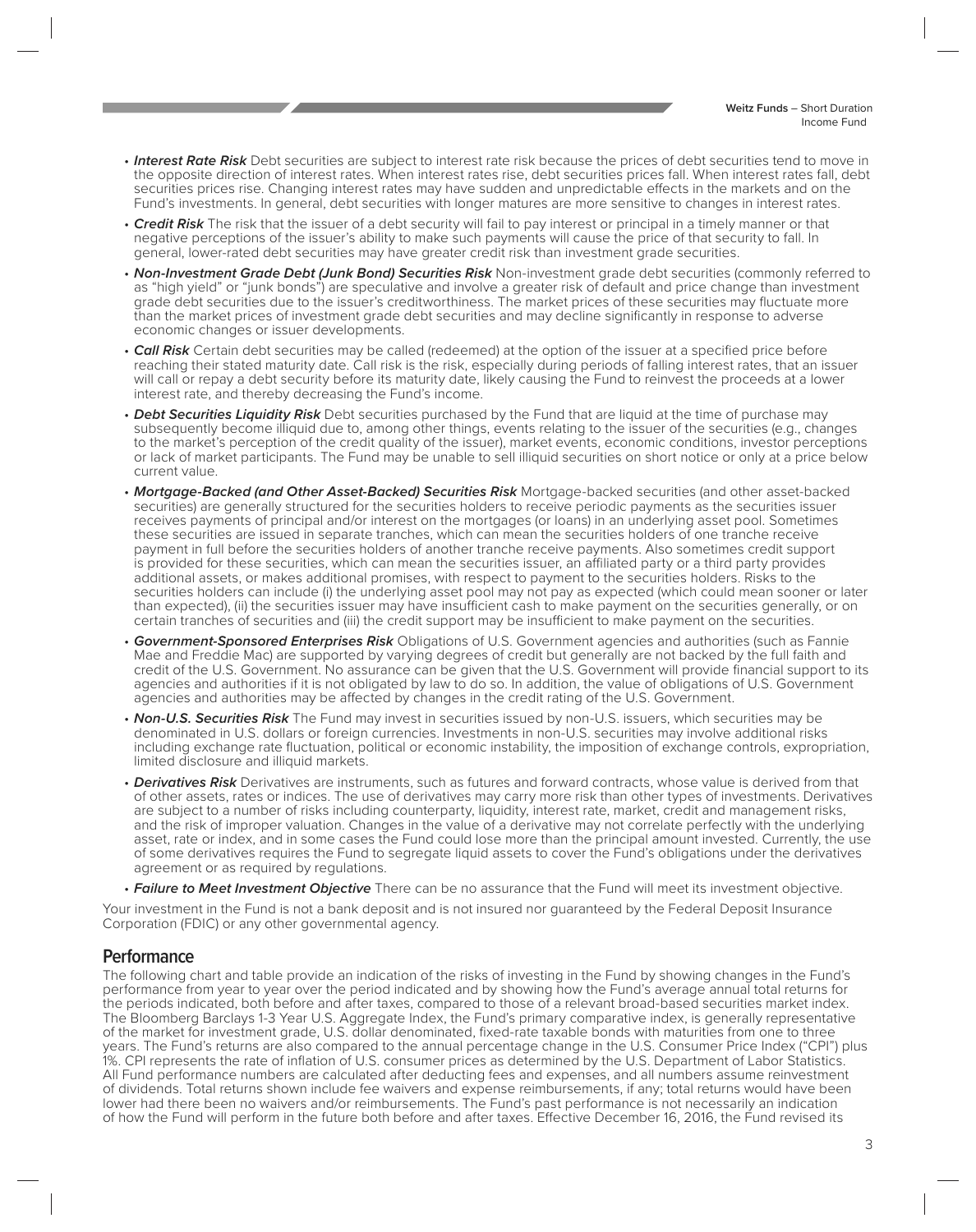- **Interest Rate Risk** Debt securities are subject to interest rate risk because the prices of debt securities tend to move in the opposite direction of interest rates. When interest rates rise, debt securities prices fall. When interest rates fall, debt securities prices rise. Changing interest rates may have sudden and unpredictable effects in the markets and on the Fund's investments. In general, debt securities with longer matures are more sensitive to changes in interest rates.
- **Credit Risk** The risk that the issuer of a debt security will fail to pay interest or principal in a timely manner or that negative perceptions of the issuer's ability to make such payments will cause the price of that security to fall. In general, lower-rated debt securities may have greater credit risk than investment grade securities.
- **Non-Investment Grade Debt (Junk Bond) Securities Risk** Non-investment grade debt securities (commonly referred to as "high yield" or "junk bonds") are speculative and involve a greater risk of default and price change than investment grade debt securities due to the issuer's creditworthiness. The market prices of these securities may fluctuate more than the market prices of investment grade debt securities and may decline significantly in response to adverse economic changes or issuer developments.
- **Call Risk** Certain debt securities may be called (redeemed) at the option of the issuer at a specified price before reaching their stated maturity date. Call risk is the risk, especially during periods of falling interest rates, that an issuer will call or repay a debt security before its maturity date, likely causing the Fund to reinvest the proceeds at a lower interest rate, and thereby decreasing the Fund's income.
- **Debt Securities Liquidity Risk** Debt securities purchased by the Fund that are liquid at the time of purchase may subsequently become illiquid due to, among other things, events relating to the issuer of the securities (e.g., changes to the market's perception of the credit quality of the issuer), market events, economic conditions, investor perceptions or lack of market participants. The Fund may be unable to sell illiquid securities on short notice or only at a price below current value.
- **Mortgage-Backed (and Other Asset-Backed) Securities Risk** Mortgage-backed securities (and other asset-backed securities) are generally structured for the securities holders to receive periodic payments as the securities issuer receives payments of principal and/or interest on the mortgages (or loans) in an underlying asset pool. Sometimes these securities are issued in separate tranches, which can mean the securities holders of one tranche receive payment in full before the securities holders of another tranche receive payments. Also sometimes credit support is provided for these securities, which can mean the securities issuer, an affiliated party or a third party provides additional assets, or makes additional promises, with respect to payment to the securities holders. Risks to the securities holders can include (i) the underlying asset pool may not pay as expected (which could mean sooner or later than expected), (ii) the securities issuer may have insufficient cash to make payment on the securities generally, or on certain tranches of securities and (iii) the credit support may be insufficient to make payment on the securities.
- **Government-Sponsored Enterprises Risk** Obligations of U.S. Government agencies and authorities (such as Fannie Mae and Freddie Mac) are supported by varying degrees of credit but generally are not backed by the full faith and credit of the U.S. Government. No assurance can be given that the U.S. Government will provide financial support to its agencies and authorities if it is not obligated by law to do so. In addition, the value of obligations of U.S. Government agencies and authorities may be affected by changes in the credit rating of the U.S. Government.
- **Non-U.S. Securities Risk** The Fund may invest in securities issued by non-U.S. issuers, which securities may be denominated in U.S. dollars or foreign currencies. Investments in non-U.S. securities may involve additional risks including exchange rate fluctuation, political or economic instability, the imposition of exchange controls, expropriation, limited disclosure and illiquid markets.
- **Derivatives Risk** Derivatives are instruments, such as futures and forward contracts, whose value is derived from that of other assets, rates or indices. The use of derivatives may carry more risk than other types of investments. Derivatives are subject to a number of risks including counterparty, liquidity, interest rate, market, credit and management risks, and the risk of improper valuation. Changes in the value of a derivative may not correlate perfectly with the underlying asset, rate or index, and in some cases the Fund could lose more than the principal amount invested. Currently, the use of some derivatives requires the Fund to segregate liquid assets to cover the Fund's obligations under the derivatives agreement or as required by regulations.
- **Failure to Meet Investment Objective** There can be no assurance that the Fund will meet its investment objective.

Your investment in the Fund is not a bank deposit and is not insured nor guaranteed by the Federal Deposit Insurance Corporation (FDIC) or any other governmental agency.

#### **Performance**

The following chart and table provide an indication of the risks of investing in the Fund by showing changes in the Fund's performance from year to year over the period indicated and by showing how the Fund's average annual total returns for the periods indicated, both before and after taxes, compared to those of a relevant broad-based securities market index. The Bloomberg Barclays 1-3 Year U.S. Aggregate Index, the Fund's primary comparative index, is generally representative of the market for investment grade, U.S. dollar denominated, fixed-rate taxable bonds with maturities from one to three years. The Fund's returns are also compared to the annual percentage change in the U.S. Consumer Price Index ("CPI") plus 1%. CPI represents the rate of inflation of U.S. consumer prices as determined by the U.S. Department of Labor Statistics. All Fund performance numbers are calculated after deducting fees and expenses, and all numbers assume reinvestment of dividends. Total returns shown include fee waivers and expense reimbursements, if any; total returns would have been lower had there been no waivers and/or reimbursements. The Fund's past performance is not necessarily an indication of how the Fund will perform in the future both before and after taxes. Effective December 16, 2016, the Fund revised its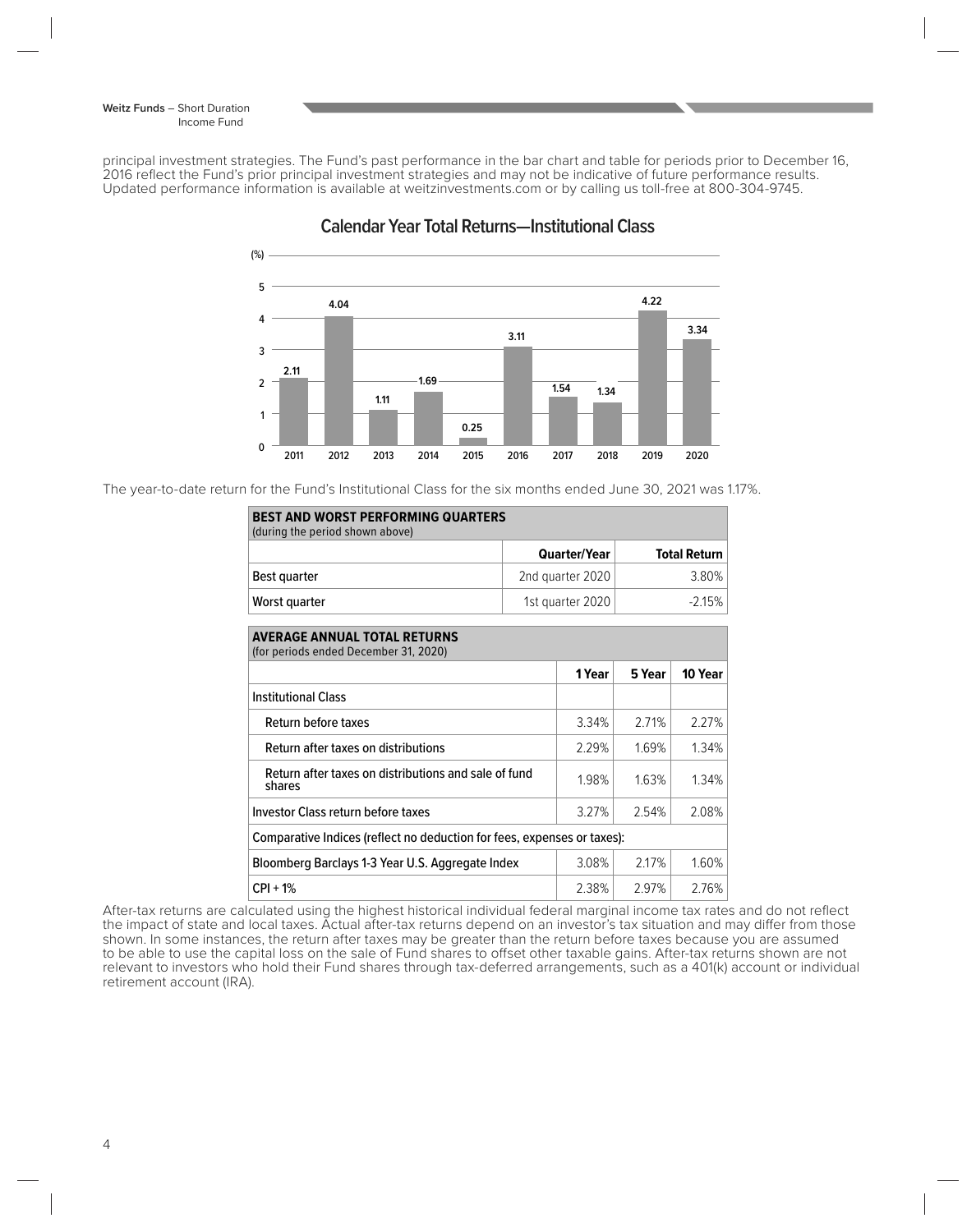principal investment strategies. The Fund's past performance in the bar chart and table for periods prior to December 16, 2016 reflect the Fund's prior principal investment strategies and may not be indicative of future performance results. Updated performance information is available at weitzinvestments.com or by calling us toll-free at 800-304-9745.



**Calendar Year Total Returns—Institutional Class**

The year-to-date return for the Fund's Institutional Class for the six months ended June 30, 2021 was 1.17%.

| <b>BEST AND WORST PERFORMING QUARTERS</b><br>(during the period shown above) |                     |        |                     |         |  |  |  |
|------------------------------------------------------------------------------|---------------------|--------|---------------------|---------|--|--|--|
|                                                                              | <b>Quarter/Year</b> |        | <b>Total Return</b> |         |  |  |  |
| Best quarter                                                                 | 2nd quarter 2020    |        | 3.80%               |         |  |  |  |
| Worst quarter                                                                | 1st quarter 2020    |        | $-2.15%$            |         |  |  |  |
| <b>AVERAGE ANNUAL TOTAL RETURNS</b><br>(for periods ended December 31, 2020) |                     |        |                     |         |  |  |  |
|                                                                              |                     | 1 Year | 5 Year              | 10 Year |  |  |  |
| <b>Institutional Class</b>                                                   |                     |        |                     |         |  |  |  |
| Return before taxes                                                          |                     | 3.34%  | 2.71%               | 2.27%   |  |  |  |
| Return after taxes on distributions                                          |                     | 2.29%  | 1.69%               | 1.34%   |  |  |  |
| Return after taxes on distributions and sale of fund<br>shares               |                     | 1.98%  | 1.63%               | 1.34%   |  |  |  |
| Investor Class return before taxes                                           |                     | 3.27%  | 2.54%               | 2.08%   |  |  |  |
| Comparative Indices (reflect no deduction for fees, expenses or taxes):      |                     |        |                     |         |  |  |  |
| Bloomberg Barclays 1-3 Year U.S. Aggregate Index                             |                     | 3.08%  | 2.17%               | 1.60%   |  |  |  |
| $CPI + 1%$                                                                   |                     | 2.38%  | 2.97%               | 2.76%   |  |  |  |

After-tax returns are calculated using the highest historical individual federal marginal income tax rates and do not reflect the impact of state and local taxes. Actual after-tax returns depend on an investor's tax situation and may differ from those shown. In some instances, the return after taxes may be greater than the return before taxes because you are assumed to be able to use the capital loss on the sale of Fund shares to offset other taxable gains. After-tax returns shown are not relevant to investors who hold their Fund shares through tax-deferred arrangements, such as a 401(k) account or individual retirement account (IRA).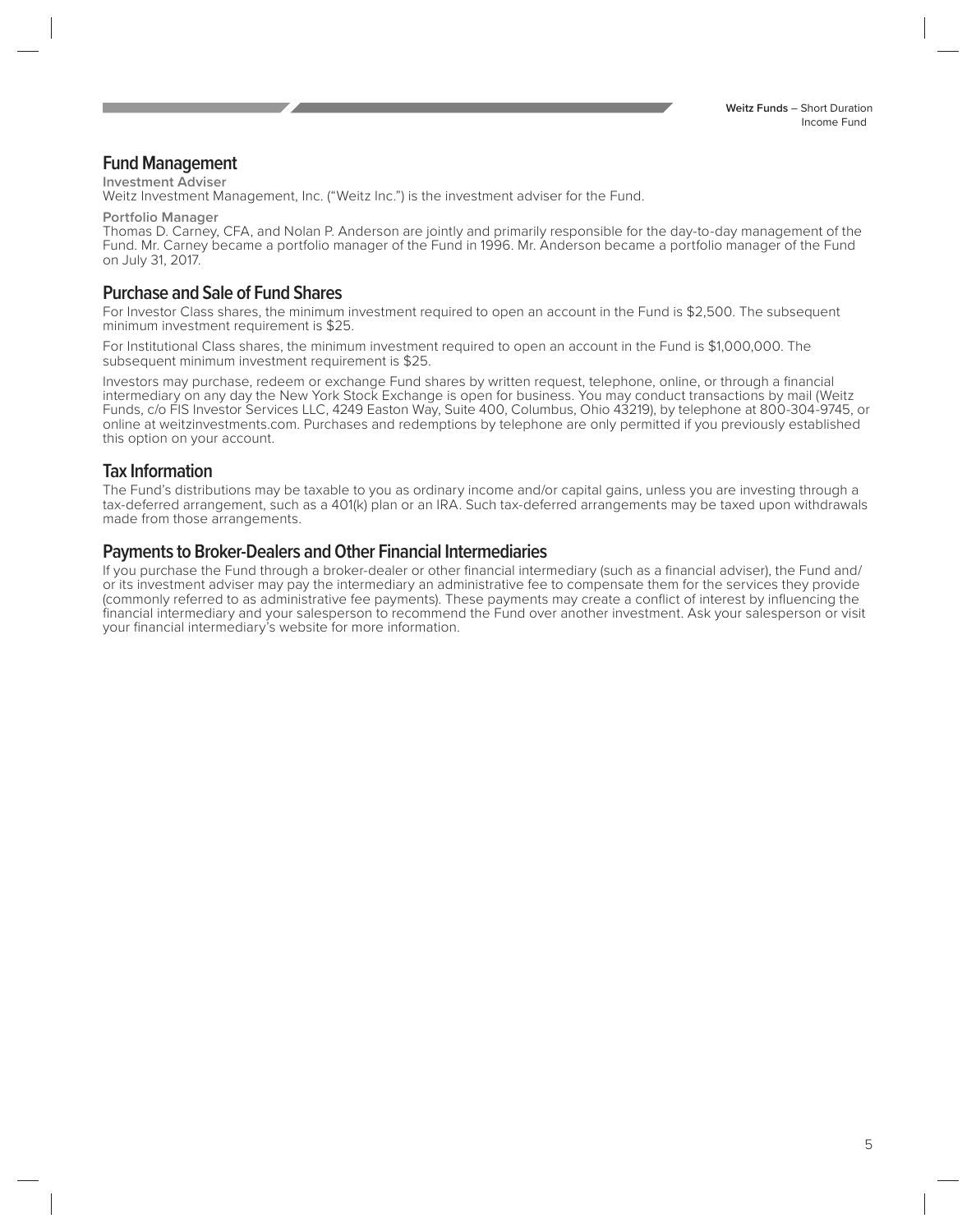#### **Fund Management**

#### **Investment Adviser**

Weitz Investment Management, Inc. ("Weitz Inc.") is the investment adviser for the Fund.

**Portfolio Manager**

Thomas D. Carney, CFA, and Nolan P. Anderson are jointly and primarily responsible for the day-to-day management of the Fund. Mr. Carney became a portfolio manager of the Fund in 1996. Mr. Anderson became a portfolio manager of the Fund on July 31, 2017.

### **Purchase and Sale of Fund Shares**

For Investor Class shares, the minimum investment required to open an account in the Fund is \$2,500. The subsequent minimum investment requirement is \$25.

For Institutional Class shares, the minimum investment required to open an account in the Fund is \$1,000,000. The subsequent minimum investment requirement is \$25.

Investors may purchase, redeem or exchange Fund shares by written request, telephone, online, or through a financial intermediary on any day the New York Stock Exchange is open for business. You may conduct transactions by mail (Weitz Funds, c/o FIS Investor Services LLC, 4249 Easton Way, Suite 400, Columbus, Ohio 43219), by telephone at 800-304-9745, or online at weitzinvestments.com. Purchases and redemptions by telephone are only permitted if you previously established this option on your account.

#### **Tax Information**

The Fund's distributions may be taxable to you as ordinary income and/or capital gains, unless you are investing through a tax-deferred arrangement, such as a 401(k) plan or an IRA. Such tax-deferred arrangements may be taxed upon withdrawals made from those arrangements.

#### **Payments to Broker-Dealers and Other Financial Intermediaries**

If you purchase the Fund through a broker-dealer or other financial intermediary (such as a financial adviser), the Fund and/ or its investment adviser may pay the intermediary an administrative fee to compensate them for the services they provide (commonly referred to as administrative fee payments). These payments may create a conflict of interest by influencing the financial intermediary and your salesperson to recommend the Fund over another investment. Ask your salesperson or visit your financial intermediary's website for more information.